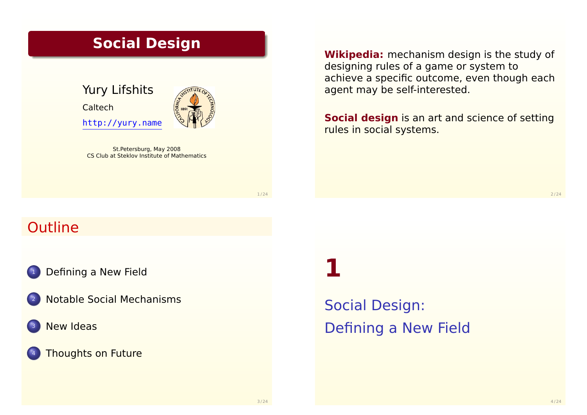## **Social Design**

Yury Lifshits Caltech http://yury.name

St.Petersburg, May 2008 CS Club at Steklov Institute of Mathematics **Wikipedia:** mechanism design is the study of designing rules of a game or system to achieve a specific outcome, even though each agent may be self-interested.

**Social design** is an art and science of setting rules in social systems.

1 / 24

## **Outline**

[Defining a New F](#page-0-0)ield

- <sup>2</sup> [Notable Social Mechanis](#page-1-0)ms
- **[New Id](#page-3-0)eas**

#### [Thoughts on Fut](#page-4-0)ure

**1**

<span id="page-0-0"></span>Social Design: Defining a New Field  $2/24$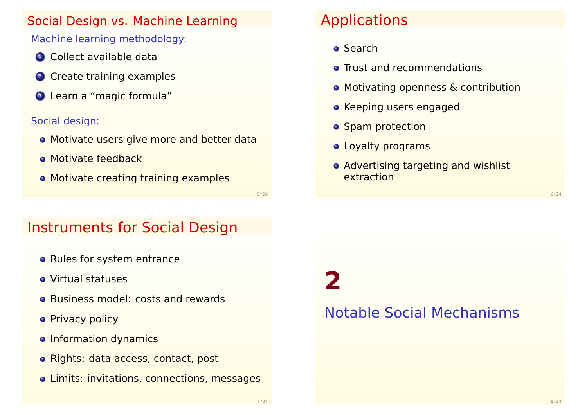## Social Design vs. Machine Learning

## Machine learning methodology:

- **1** Collect available data
- <sup>2</sup> Create training examples
- <sup>3</sup> Learn a "magic formula"

#### Social design:

- Motivate users give more and better data
- **Motivate feedback**
- **Motivate creating training examples**

# Applications

**o** Search

**2**

- **O** Trust and recommendations
- Motivating openness & contribution
- **Keeping users engaged**
- **•** Spam protection
- Loyalty programs
- Advertising targeting and wishlist extraction

Instruments for Social Design

- Rules for system entrance
- Virtual statuses
- **Business model: costs and rewards**
- **Privacy policy**
- o Information dynamics
- o Rights: data access, contact, post
- Limits: invitations, connections, messages

<span id="page-1-0"></span>Notable Social Mechanisms

5 / 24

6 / 24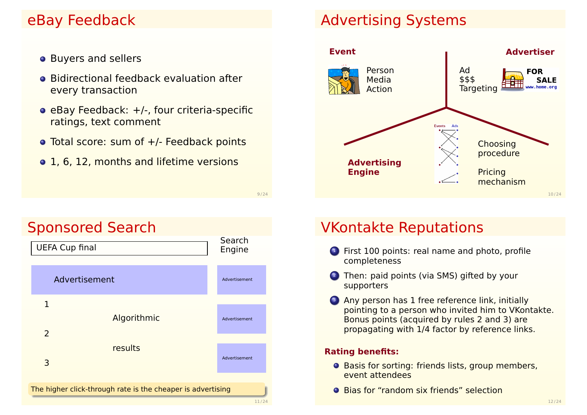## eBay Feedback

- **•** Buyers and sellers
- **Bidirectional feedback evaluation after** every transaction
- $\bullet$  eBay Feedback:  $+/-$ , four criteria-specific ratings, text comment
- Total score: sum of  $+/-$  Feedback points

9 / 24

• 1, 6, 12, months and lifetime versions



## Advertising Systems



## VKontakte Reputations

- <sup>1</sup> First 100 points: real name and photo, profile completeness
- 2 Then: paid points (via SMS) gifted by your supporters
- <sup>3</sup> Any person has 1 free reference link, initially pointing to a person who invited him to VKontakte. Bonus points (acquired by rules 2 and 3) are propagating with 1/4 factor by reference links.

#### **Rating benefits:**

- **O** Basis for sorting: friends lists, group members, event attendees
- **•** Bias for "random six friends" selection

## Sponsored Search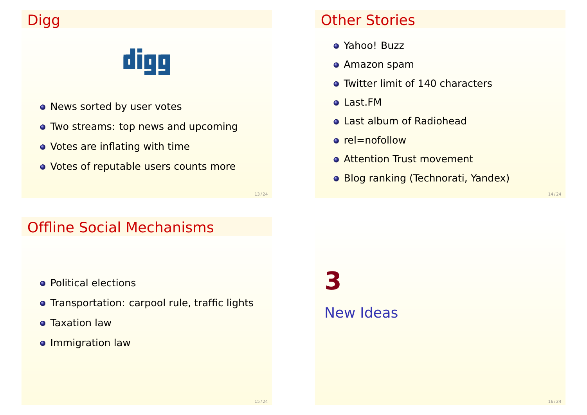# Digg

# digg

- News sorted by user votes
- Two streams: top news and upcoming
- Votes are inflating with time
- o Votes of reputable users counts more

## Other Stories

- Yahoo! Buzz
- Amazon spam
- **Twitter limit of 140 characters**
- Last.FM
- Last album of Radiohead
- o rel=nofollow
- **Attention Trust movement**
- Blog ranking (Technorati, Yandex)

13 / 24

## Offline Social Mechanisms

- **•** Political elections
- **•** Transportation: carpool rule, traffic lights
- **o** Taxation law
- **o** Immigration law

<span id="page-3-0"></span>**3** New Ideas

16 / 24

14 / 24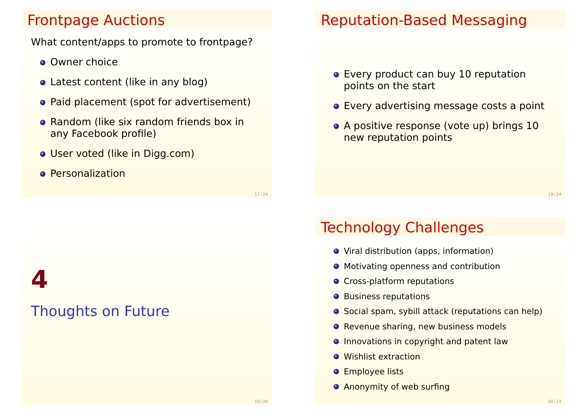## Frontpage Auctions

What content/apps to promote to frontpage?

- **Owner choice**
- Latest content (like in any blog)
- Paid placement (spot for advertisement)
- **Random (like six random friends box in** any Facebook profile)
- User voted (like in Digg.com)
- **•** Personalization

17 / 24

# **4** Thoughts on Future

## Reputation-Based Messaging

- Every product can buy 10 reputation points on the start
- Every advertising message costs a point
- A positive response (vote up) brings 10 new reputation points

18 / 24

## Technology Challenges

- Viral distribution (apps, information)
- **Motivating openness and contribution**
- **O** Cross-platform reputations
- **O** Business reputations
- **O** Social spam, sybill attack (reputations can help)
- Revenue sharing, new business models
- **O** Innovations in copyright and patent law
- **•** Wishlist extraction
- **O** Employee lists
- <span id="page-4-0"></span>**• Anonymity of web surfing**